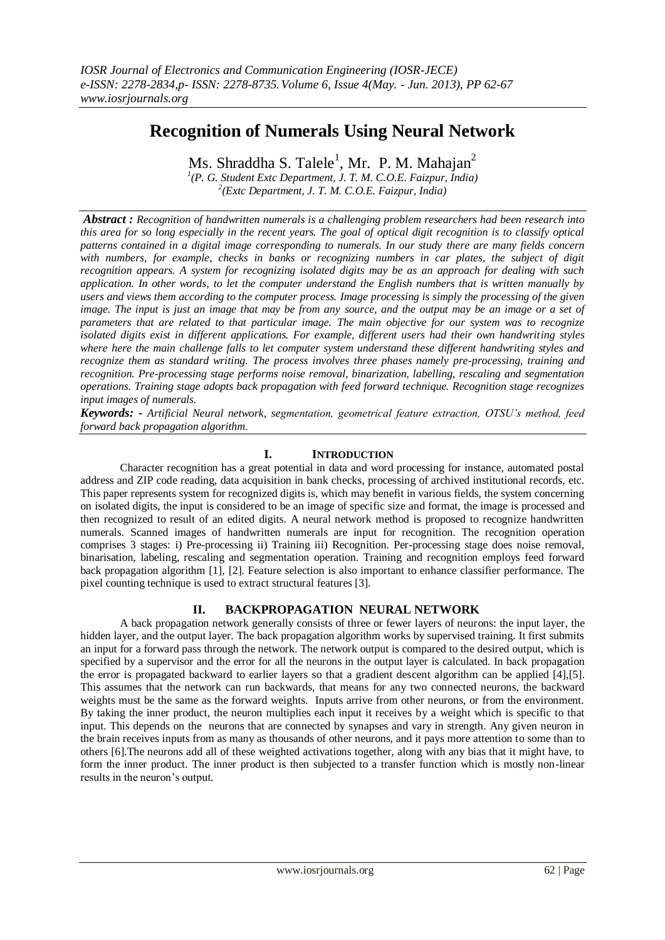# **Recognition of Numerals Using Neural Network**

Ms. Shraddha S. Talele<sup>1</sup>, Mr. P. M. Mahajan<sup>2</sup>

*1 (P. G. Student Extc Department, J. T. M. C.O.E. Faizpur, India) 2 (Extc Department, J. T. M. C.O.E. Faizpur, India)* 

*Abstract : Recognition of handwritten numerals is a challenging problem researchers had been research into this area for so long especially in the recent years. The goal of optical digit recognition is to classify optical patterns contained in a digital image corresponding to numerals. In our study there are many fields concern with numbers, for example, checks in banks or recognizing numbers in car plates, the subject of digit recognition appears. A system for recognizing isolated digits may be as an approach for dealing with such application. In other words, to let the computer understand the English numbers that is written manually by users and views them according to the computer process. Image processing is simply the processing of the given image. The input is just an image that may be from any source, and the output may be an image or a set of parameters that are related to that particular image. The main objective for our system was to recognize isolated digits exist in different applications. For example, different users had their own handwriting styles where here the main challenge falls to let computer system understand these different handwriting styles and recognize them as standard writing. The process involves three phases namely pre-processing, training and recognition. Pre-processing stage performs noise removal, binarization, labelling, rescaling and segmentation operations. Training stage adopts back propagation with feed forward technique. Recognition stage recognizes input images of numerals.*

*Keywords: - Artificial Neural network, segmentation, geometrical feature extraction, OTSU's method, feed forward back propagation algorithm*.

# **I. INTRODUCTION**

Character recognition has a great potential in data and word processing for instance, automated postal address and ZIP code reading, data acquisition in bank checks, processing of archived institutional records, etc. This paper represents system for recognized digits is, which may benefit in various fields, the system concerning on isolated digits, the input is considered to be an image of specific size and format, the image is processed and then recognized to result of an edited digits. A neural network method is proposed to recognize handwritten numerals. Scanned images of handwritten numerals are input for recognition. The recognition operation comprises 3 stages: i) Pre-processing ii) Training iii) Recognition. Per-processing stage does noise removal, binarisation, labeling, rescaling and segmentation operation. Training and recognition employs feed forward back propagation algorithm [1], [2]. Feature selection is also important to enhance classifier performance. The pixel counting technique is used to extract structural features [3].

# **II. BACKPROPAGATION NEURAL NETWORK**

A back propagation network generally consists of three or fewer layers of neurons: the input layer, the hidden layer, and the output layer. The back propagation algorithm works by supervised training. It first submits an input for a forward pass through the network. The network output is compared to the desired output, which is specified by a supervisor and the error for all the neurons in the output layer is calculated. In back propagation the error is propagated backward to earlier layers so that a gradient descent algorithm can be applied [4],[5]. This assumes that the network can run backwards, that means for any two connected neurons, the backward weights must be the same as the forward weights. Inputs arrive from other neurons, or from the environment. By taking the inner product, the neuron multiplies each input it receives by a weight which is specific to that input. This depends on the neurons that are connected by synapses and vary in strength. Any given neuron in the brain receives inputs from as many as thousands of other neurons, and it pays more attention to some than to others [6].The neurons add all of these weighted activations together, along with any bias that it might have, to form the inner product. The inner product is then subjected to a transfer function which is mostly non-linear results in the neuron's output.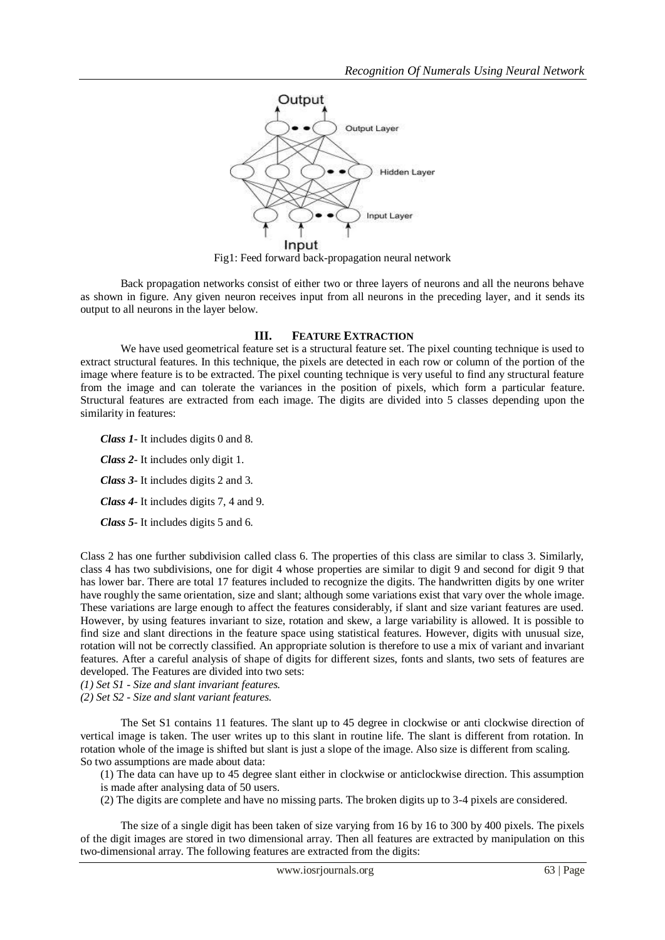

Fig1: Feed forward back-propagation neural network

Back propagation networks consist of either two or three layers of neurons and all the neurons behave as shown in figure. Any given neuron receives input from all neurons in the preceding layer, and it sends its output to all neurons in the layer below.

### **III. FEATURE EXTRACTION**

We have used geometrical feature set is a structural feature set. The pixel counting technique is used to extract structural features. In this technique, the pixels are detected in each row or column of the portion of the image where feature is to be extracted. The pixel counting technique is very useful to find any structural feature from the image and can tolerate the variances in the position of pixels, which form a particular feature. Structural features are extracted from each image. The digits are divided into 5 classes depending upon the similarity in features:

*Class 1*- It includes digits 0 and 8.

*Class 2*- It includes only digit 1.

*Class 3*- It includes digits 2 and 3.

*Class 4*- It includes digits 7, 4 and 9.

*Class 5*- It includes digits 5 and 6.

Class 2 has one further subdivision called class 6. The properties of this class are similar to class 3. Similarly, class 4 has two subdivisions, one for digit 4 whose properties are similar to digit 9 and second for digit 9 that has lower bar. There are total 17 features included to recognize the digits. The handwritten digits by one writer have roughly the same orientation, size and slant; although some variations exist that vary over the whole image. These variations are large enough to affect the features considerably, if slant and size variant features are used. However, by using features invariant to size, rotation and skew, a large variability is allowed. It is possible to find size and slant directions in the feature space using statistical features. However, digits with unusual size, rotation will not be correctly classified. An appropriate solution is therefore to use a mix of variant and invariant features. After a careful analysis of shape of digits for different sizes, fonts and slants, two sets of features are developed. The Features are divided into two sets:

*(1) Set S1 - Size and slant invariant features.*

*(2) Set S2 - Size and slant variant features.*

The Set S1 contains 11 features. The slant up to 45 degree in clockwise or anti clockwise direction of vertical image is taken. The user writes up to this slant in routine life. The slant is different from rotation. In rotation whole of the image is shifted but slant is just a slope of the image. Also size is different from scaling. So two assumptions are made about data:

(1) The data can have up to 45 degree slant either in clockwise or anticlockwise direction. This assumption is made after analysing data of 50 users.

(2) The digits are complete and have no missing parts. The broken digits up to 3-4 pixels are considered.

The size of a single digit has been taken of size varying from 16 by 16 to 300 by 400 pixels. The pixels of the digit images are stored in two dimensional array. Then all features are extracted by manipulation on this two-dimensional array. The following features are extracted from the digits: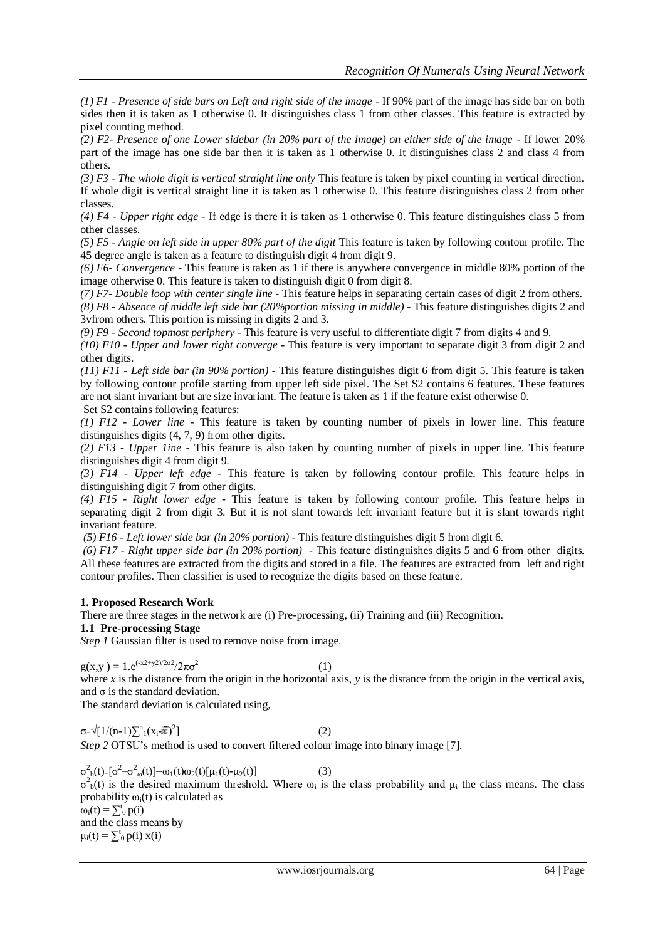*(1) F1 - Presence of side bars on Left and right side of the image* - If 90% part of the image has side bar on both sides then it is taken as 1 otherwise 0. It distinguishes class 1 from other classes. This feature is extracted by pixel counting method.

*(2) F2- Presence of one Lower sidebar (in 20% part of the image) on either side of the image -* If lower 20% part of the image has one side bar then it is taken as 1 otherwise 0. It distinguishes class 2 and class 4 from others.

*(3) F3 - The whole digit is vertical straight line only* This feature is taken by pixel counting in vertical direction. If whole digit is vertical straight line it is taken as 1 otherwise 0. This feature distinguishes class 2 from other classes.

*(4) F4 - Upper right edge* - If edge is there it is taken as 1 otherwise 0. This feature distinguishes class 5 from other classes.

*(5) F5 - Angle on left side in upper 80% part of the digit* This feature is taken by following contour profile. The 45 degree angle is taken as a feature to distinguish digit 4 from digit 9.

*(6) F6- Convergence* - This feature is taken as 1 if there is anywhere convergence in middle 80% portion of the image otherwise 0. This feature is taken to distinguish digit 0 from digit 8.

*(7) F7- Double loop with center single line* - This feature helps in separating certain cases of digit 2 from others.

*(8) F8 - Absence of middle left side bar (20%portion missing in middle) -* This feature distinguishes digits 2 and 3vfrom others. This portion is missing in digits 2 and 3.

*(9) F9 - Second topmost periphery* - This feature is very useful to differentiate digit 7 from digits 4 and 9.

*(10) F10 - Upper and lower right converge* - This feature is very important to separate digit 3 from digit 2 and other digits.

*(11) F11 - Left side bar (in 90% portion)* - This feature distinguishes digit 6 from digit 5. This feature is taken by following contour profile starting from upper left side pixel. The Set S2 contains 6 features. These features are not slant invariant but are size invariant. The feature is taken as 1 if the feature exist otherwise 0. Set S2 contains following features:

*(1) F12 - Lower line -* This feature is taken by counting number of pixels in lower line. This feature distinguishes digits (4, 7, 9) from other digits.

*(2) F13 - Upper 1ine -* This feature is also taken by counting number of pixels in upper line. This feature distinguishes digit 4 from digit 9.

*(3) F14 - Upper left edge* - This feature is taken by following contour profile. This feature helps in distinguishing digit 7 from other digits.

*(4) F15 - Right lower edge -* This feature is taken by following contour profile. This feature helps in separating digit 2 from digit 3. But it is not slant towards left invariant feature but it is slant towards right invariant feature.

*(5) F16 - Left lower side bar (in 20% portion) -* This feature distinguishes digit 5 from digit 6.

*(6) F17 - Right upper side bar (in 20% portion) -* This feature distinguishes digits 5 and 6 from other digits. All these features are extracted from the digits and stored in a file. The features are extracted from left and right contour profiles. Then classifier is used to recognize the digits based on these feature.

## **1. Proposed Research Work**

There are three stages in the network are (i) Pre-processing, (ii) Training and (iii) Recognition.

# **1.1 Pre-processing Stage**

*Step 1* Gaussian filter is used to remove noise from image.

 $g(x,y) = 1.e^{(-x^2+y^2)/2\sigma^2}/2\pi\sigma^2$ 

(1)

where  $x$  is the distance from the origin in the horizontal axis,  $y$  is the distance from the origin in the vertical axis, and  $\sigma$  is the standard deviation.

The standard deviation is calculated using,

 $\sigma = \sqrt{[1/(n-1)]}\sum_{i=1}^{n} (x_i - \bar{x})^2$  (2) *Step 2* OTSU's method is used to convert filtered colour image into binary image [7].

 $\sigma_{b}^{2}(t) = [\sigma^{2} - \sigma_{0}^{2}(t)] = \omega_{1}(t)\omega_{2}(t)[\mu_{1}(t) - \mu_{2}(t)]$  (3)  $\sigma_b^2(t)$  is the desired maximum threshold. Where  $\omega_i$  is the class probability and  $\mu_i$  the class means. The class probability  $\omega_i(t)$  is calculated as  $\omega_i(t) = \sum_0^t p(i)$ and the class means by  $\mu_i(t) = \sum_{i=0}^{t} p(i) x(i)$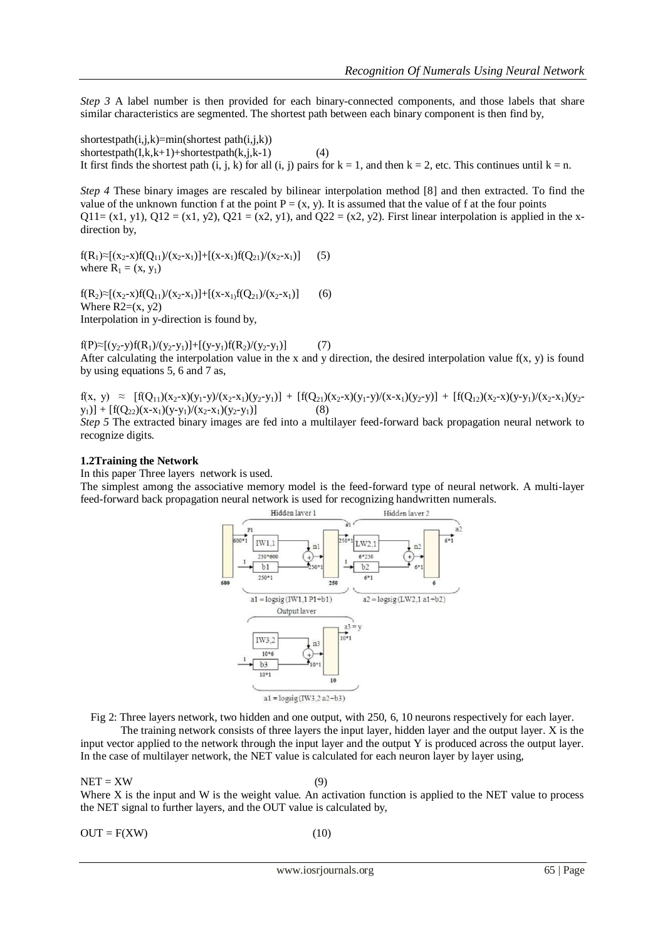*Step 3* A label number is then provided for each binary-connected components, and those labels that share similar characteristics are segmented. The shortest path between each binary component is then find by,

shortestpath $(i,j,k)=min($ shortest path $(i,j,k)$ )  $shortestpath(I,k,k+1)+shortestpath(k,j,k-1)$  (4) It first finds the shortest path (i, j, k) for all (i, j) pairs for  $k = 1$ , and then  $k = 2$ , etc. This continues until  $k = n$ .

*Step 4* These binary images are rescaled by bilinear interpolation method [8] and then extracted. To find the value of the unknown function f at the point  $P = (x, y)$ . It is assumed that the value of f at the four points Q11= (x1, y1), Q12 = (x1, y2), Q21 = (x2, y1), and Q22 = (x2, y2). First linear interpolation is applied in the xdirection by,

 $f(R_1) \approx [(x_2-x)f(Q_{11})/(x_2-x_1)] + [(x-x_1)f(Q_{21})/(x_2-x_1)]$  (5) where  $R_1 = (x, y_1)$ 

 $f(R_2) \approx [(x_2-x)f(Q_{11})/(x_2-x_1)]+[(x-x_1)f(Q_{21})/(x_2-x_1)]$  (6) Where  $R2=(x, y2)$ Interpolation in y-direction is found by,

 $f(P) \approx [(y_2-y) f(R_1)/(y_2-y_1)] + [(y-y_1) f(R_2)/(y_2-y_1)]$  (7) After calculating the interpolation value in the x and y direction, the desired interpolation value  $f(x, y)$  is found by using equations 5, 6 and 7 as,

 $f(x, y) \approx [f(Q_{11})(x_2-x)(y_1-y)/(x_2-x_1)(y_2-y_1)] + [f(Q_{21})(x_2-x)(y_1-y)/(x-x_1)(y_2-y)] + [f(Q_{12})(x_2-x)(y-y_1)/(x_2-x_1)(y_2-y_1)]$  $(y_1)$ ] +  $[f(Q_{22})(x-x_1)(y-y_1)/(x_2-x_1)(y_2-y_1)]$  (8)

*Step 5* The extracted binary images are fed into a multilayer feed-forward back propagation neural network to recognize digits.

#### **1.2Training the Network**

In this paper Three layers network is used.

The simplest among the associative memory model is the feed-forward type of neural network. A multi-layer feed-forward back propagation neural network is used for recognizing handwritten numerals.



Fig 2: Three layers network, two hidden and one output, with 250, 6, 10 neurons respectively for each layer.

The training network consists of three layers the input layer, hidden layer and the output layer. X is the input vector applied to the network through the input layer and the output Y is produced across the output layer. In the case of multilayer network, the NET value is calculated for each neuron layer by layer using,

#### $NET = XW$  (9)

Where X is the input and W is the weight value. An activation function is applied to the NET value to process the NET signal to further layers, and the OUT value is calculated by,

 $OUT = F(XW)$  (10)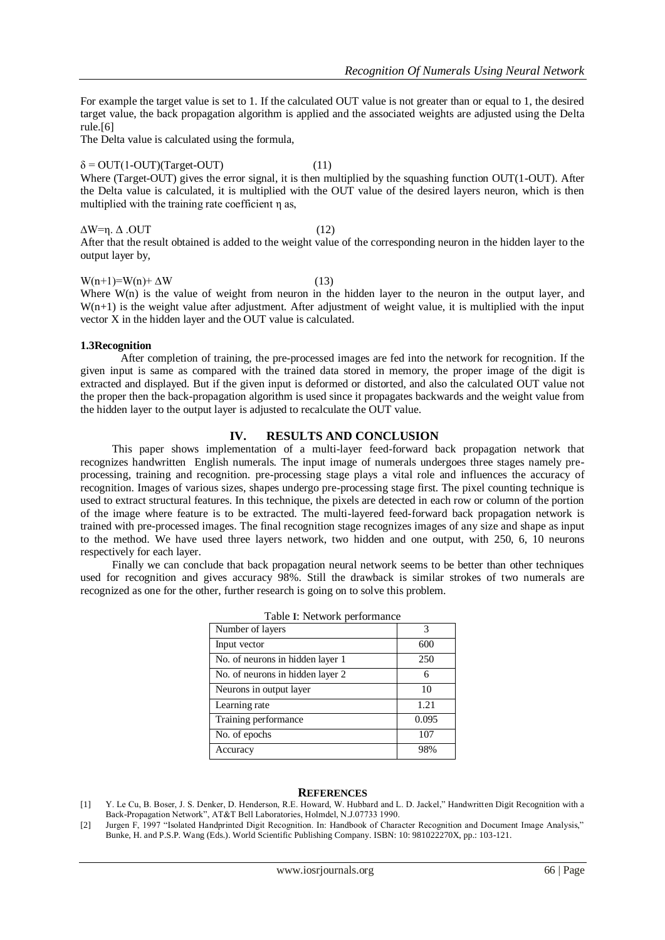For example the target value is set to 1. If the calculated OUT value is not greater than or equal to 1, the desired target value, the back propagation algorithm is applied and the associated weights are adjusted using the Delta rule.[6]

The Delta value is calculated using the formula,

# $\delta = \text{OUT}(1-\text{OUT})(\text{Target}-\text{OUT})$  (11)

Where (Target-OUT) gives the error signal, it is then multiplied by the squashing function OUT(1-OUT). After the Delta value is calculated, it is multiplied with the OUT value of the desired layers neuron, which is then multiplied with the training rate coefficient η as,

### $ΔW=η. Δ .OUT$  (12) After that the result obtained is added to the weight value of the corresponding neuron in the hidden layer to the

 $W(n+1)=W(n)+\Delta W$  (13)

Where W(n) is the value of weight from neuron in the hidden layer to the neuron in the output layer, and  $W(n+1)$  is the weight value after adjustment. After adjustment of weight value, it is multiplied with the input vector X in the hidden layer and the OUT value is calculated.

### **1.3Recognition**

output layer by,

After completion of training, the pre-processed images are fed into the network for recognition. If the given input is same as compared with the trained data stored in memory, the proper image of the digit is extracted and displayed. But if the given input is deformed or distorted, and also the calculated OUT value not the proper then the back-propagation algorithm is used since it propagates backwards and the weight value from the hidden layer to the output layer is adjusted to recalculate the OUT value.

### **IV. RESULTS AND CONCLUSION**

This paper shows implementation of a multi-layer feed-forward back propagation network that recognizes handwritten English numerals. The input image of numerals undergoes three stages namely preprocessing, training and recognition. pre-processing stage plays a vital role and influences the accuracy of recognition. Images of various sizes, shapes undergo pre-processing stage first. The pixel counting technique is used to extract structural features. In this technique, the pixels are detected in each row or column of the portion of the image where feature is to be extracted. The multi-layered feed-forward back propagation network is trained with pre-processed images. The final recognition stage recognizes images of any size and shape as input to the method. We have used three layers network, two hidden and one output, with 250, 6, 10 neurons respectively for each layer.

Finally we can conclude that back propagation neural network seems to be better than other techniques used for recognition and gives accuracy 98%. Still the drawback is similar strokes of two numerals are recognized as one for the other, further research is going on to solve this problem.

| Table I: Network performance     |       |
|----------------------------------|-------|
| Number of layers                 | 3     |
| Input vector                     | 600   |
| No. of neurons in hidden layer 1 | 250   |
| No. of neurons in hidden layer 2 | 6     |
| Neurons in output layer          | 10    |
| Learning rate                    | 1.21  |
| Training performance             | 0.095 |
| No. of epochs                    | 107   |
| Accuracy                         | 98%   |

### **REFERENCES**

- [1] Y. Le Cu, B. Boser, J. S. Denker, D. Henderson, R.E. Howard, W. Hubbard and L. D. Jackel," Handwritten Digit Recognition with a Back-Propagation Network", AT&T Bell Laboratories, Holmdel, N.J.07733 1990.
- [2] Jurgen F, 1997 "Isolated Handprinted Digit Recognition. In: Handbook of Character Recognition and Document Image Analysis," Bunke, H. and P.S.P. Wang (Eds.). World Scientific Publishing Company. ISBN: 10: 981022270X, pp.: 103-121.